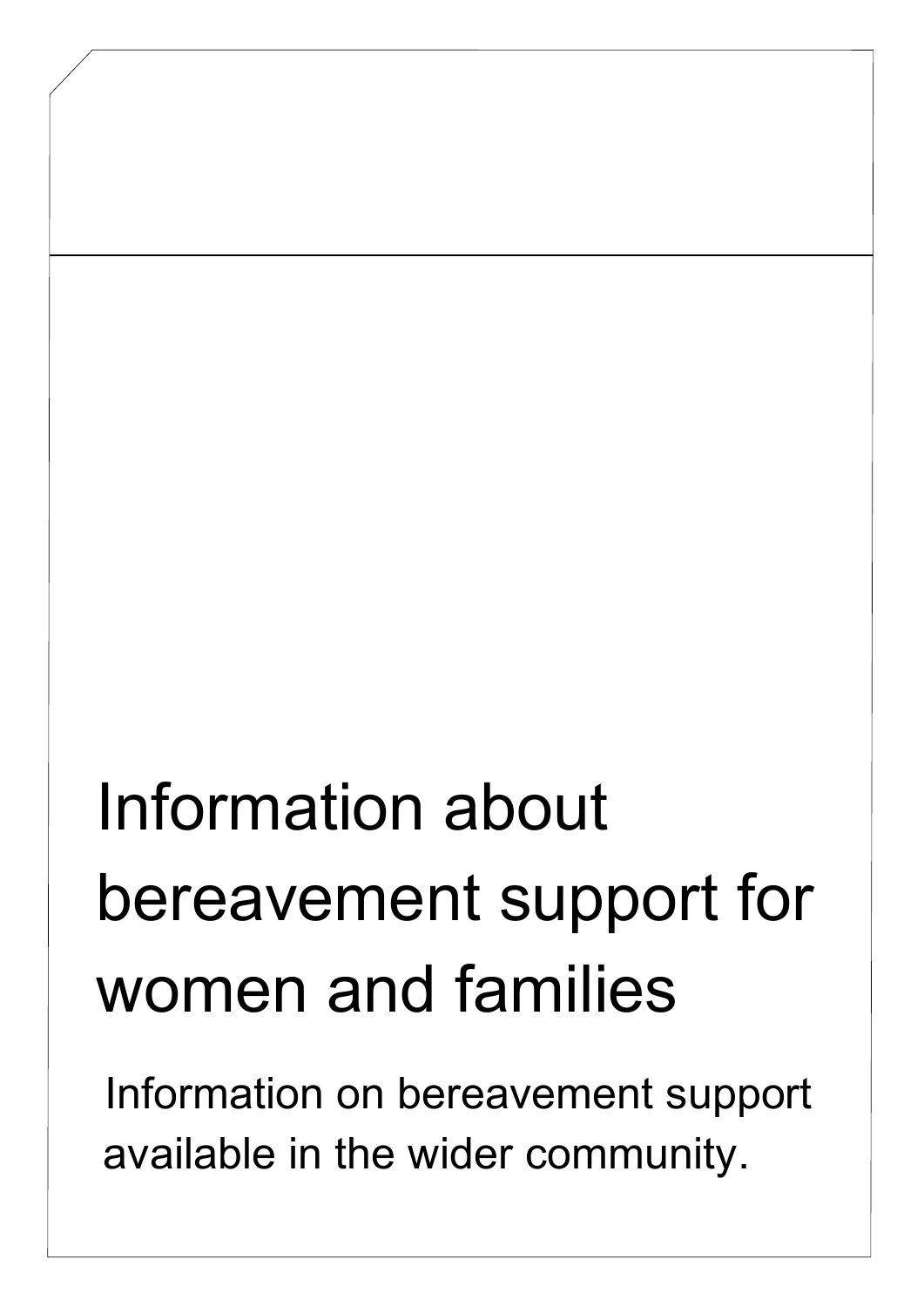# Information about bereavement support for women and families

Information on bereavement support available in the wider community.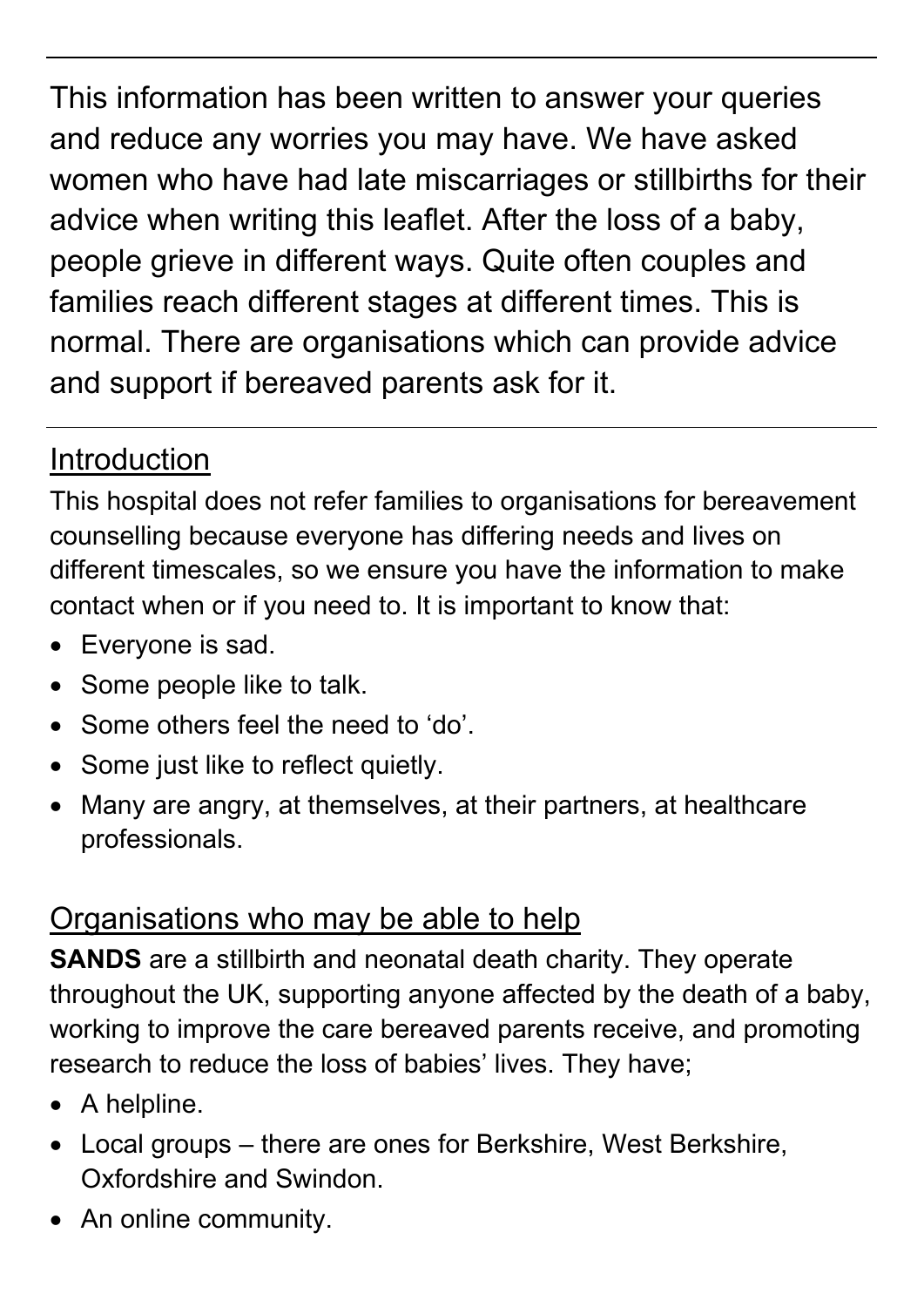This information has been written to answer your queries and reduce any worries you may have. We have asked women who have had late miscarriages or stillbirths for their advice when writing this leaflet. After the loss of a baby, people grieve in different ways. Quite often couples and families reach different stages at different times. This is normal. There are organisations which can provide advice and support if bereaved parents ask for it.

## Introduction

This hospital does not refer families to organisations for bereavement counselling because everyone has differing needs and lives on different timescales, so we ensure you have the information to make contact when or if you need to. It is important to know that:

- Everyone is sad.
- Some people like to talk.
- Some others feel the need to 'do'.
- Some just like to reflect quietly.
- Many are angry, at themselves, at their partners, at healthcare professionals.

## Organisations who may be able to help

**SANDS** are a stillbirth and neonatal death charity. They operate throughout the UK, supporting anyone affected by the death of a baby, working to improve the care bereaved parents receive, and promoting research to reduce the loss of babies' lives. They have;

- A helpline.
- Local groups there are ones for Berkshire, West Berkshire, Oxfordshire and Swindon.
- An online community.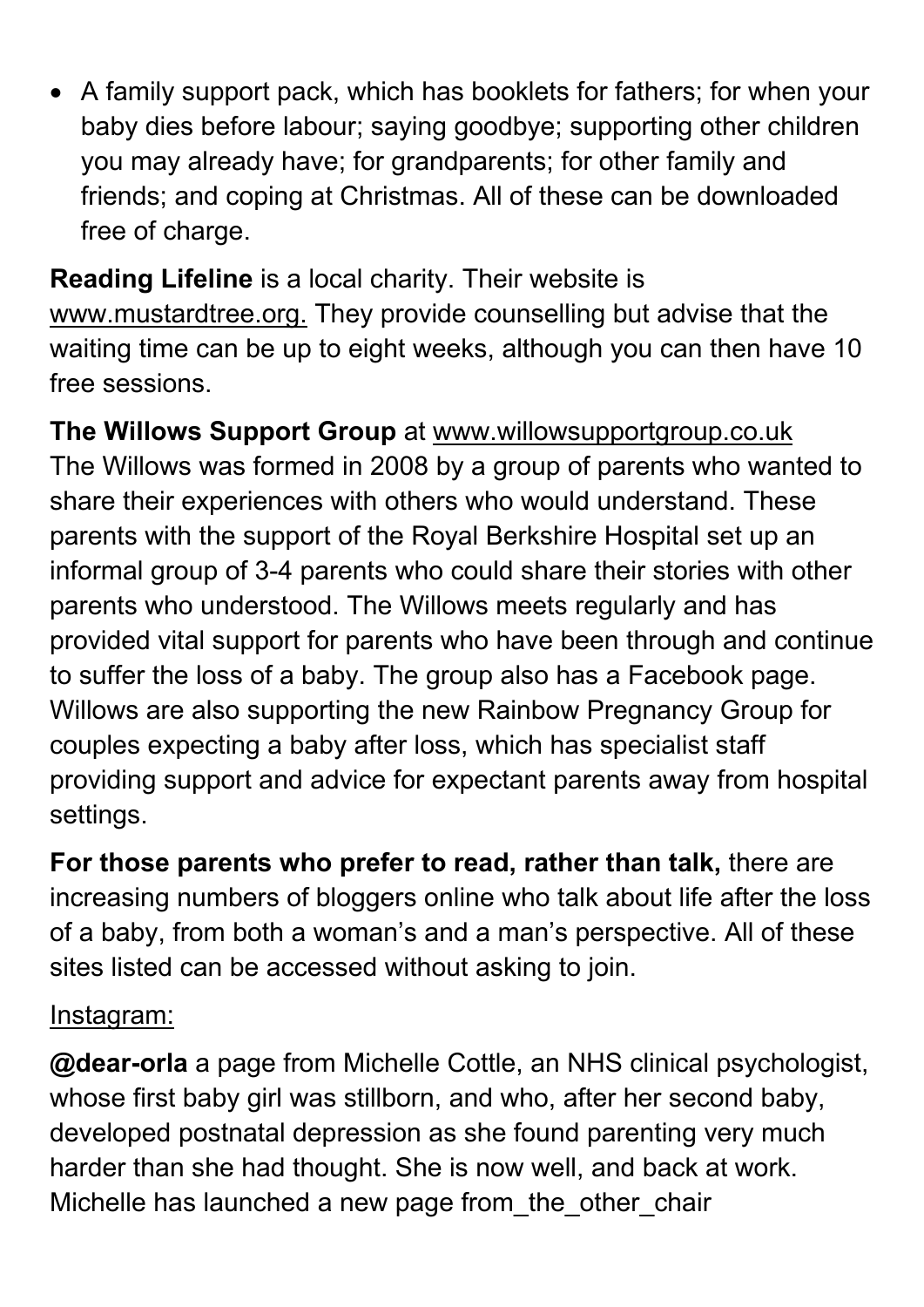• A family support pack, which has booklets for fathers; for when your baby dies before labour; saying goodbye; supporting other children you may already have; for grandparents; for other family and friends; and coping at Christmas. All of these can be downloaded free of charge.

**Reading Lifeline** is a local charity. Their website is [www.mustardtree.org.](http://www.mustardtree.org/) They provide counselling but advise that the waiting time can be up to eight weeks, although you can then have 10 free sessions.

**The Willows Support Group** at [www.willowsupportgroup.co.uk](http://www.willowsupportgroup.co.uk/) The Willows was formed in 2008 by a group of parents who wanted to share their experiences with others who would understand. These parents with the support of the Royal Berkshire Hospital set up an informal group of 3-4 parents who could share their stories with other parents who understood. The Willows meets regularly and has provided vital support for parents who have been through and continue to suffer the loss of a baby. The group also has a Facebook page. Willows are also supporting the new Rainbow Pregnancy Group for couples expecting a baby after loss, which has specialist staff providing support and advice for expectant parents away from hospital settings.

**For those parents who prefer to read, rather than talk,** there are increasing numbers of bloggers online who talk about life after the loss of a baby, from both a woman's and a man's perspective. All of these sites listed can be accessed without asking to join.

#### Instagram:

**@dear-orla** a page from Michelle Cottle, an NHS clinical psychologist, whose first baby girl was stillborn, and who, after her second baby, developed postnatal depression as she found parenting very much harder than she had thought. She is now well, and back at work. Michelle has launched a new page from the other chair